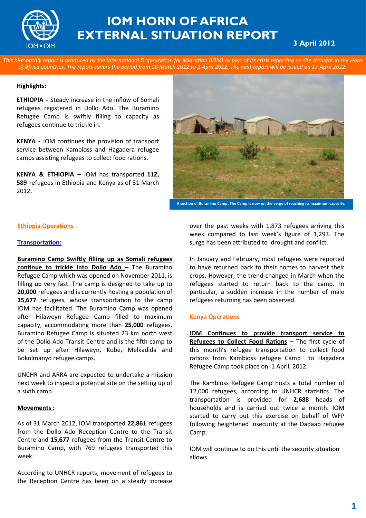

# **IOM HORN OF AFRICA EXTERNAL SITUATION REPORT**

# **3 April 2012**

*This bi-monthly report is produced by the International Organization for Migration (IOM) as part of its crisis reporting on the drought in the Horn of Africa countries. The report covers the period from 20 March 2012 to 1 April 2012. The next report will be issued on 17 April 2012.* 

#### **Highlights:**

**ETHIOPIA -** Steady increase in the inflow of Somali refugees registered in Dollo Ado. The Buramino Refugee Camp is swiftly filling to capacity as refugees continue to trickle in.

**KENYA -** IOM continues the provision of transport service between Kambioss and Hagadera refugee camps assisting refugees to collect food rations.

**KENYA & ETHIOPIA –** IOM has transported **112, 589** refugees in Ethiopia and Kenya as of 31 March 2012.



**A section of Buramino Camp. The Camp is now on the verge of reaching its maximum capacity.**

#### **Ethiopia Operations**

#### **Transportation:**

**Buramino Camp Swiftly filling up as Somali refugees continue to trickle into Dollo Ado –** The Buramino Refugee Camp which was opened on November 2011, is filling up very fast. The camp is designed to take up to **20,000** refugees and is currently hosting a population of **15,677** refugees, whose transportation to the camp IOM has facilitated. The Buramino Camp was opened after Hilaweyn Refugee Camp filled to maximum capacity, accommodating more than **25,000** refugees. Buramino Refugee Camp is situated 23 km north west of the Dollo Ado Transit Centre and is the fifth camp to be set up after Hilaweyn, Kobe, Melkadida and Bokolmanyo refugee camps.

UNCHR and ARRA are expected to undertake a mission next week to inspect a potential site on the setting up of a sixth camp.

#### **Movements :**

As of 31 March 2012, IOM transported **22,861** refugees from the Dollo Ado Reception Centre to the Transit Centre and **15,677** refugees from the Transit Centre to Buramino Camp, with 769 refugees transported this week.

According to UNHCR reports, movement of refugees to the Reception Centre has been on a steady increase

over the past weeks with 1,873 refugees arriving this week compared to last week's figure of 1,293. The surge has been attributed to drought and conflict.

In January and February, most refugees were reported to have returned back to their homes to harvest their crops. However, the trend changed in March when the refugees started to return back to the camp. In particular, a sudden increase in the number of male refugees returning has been observed.

#### **Kenya Operations**

**IOM Continues to provide transport service to Refugees to Collect Food Rations –** The first cycle of this month's refugee transportation to collect food rations from Kambioss refugee Camp to Hagadera Refugee Camp took place on 1 April, 2012.

The Kambioss Refugee Camp hosts a total number of 12,000 refugees, according to UNHCR statistics. The transportation is provided for **2,688** heads of households and is carried out twice a month. IOM started to carry out this exercise on behalf of WFP following heightened insecurity at the Dadaab refugee Camp.

IOM will continue to do this until the security situation allows.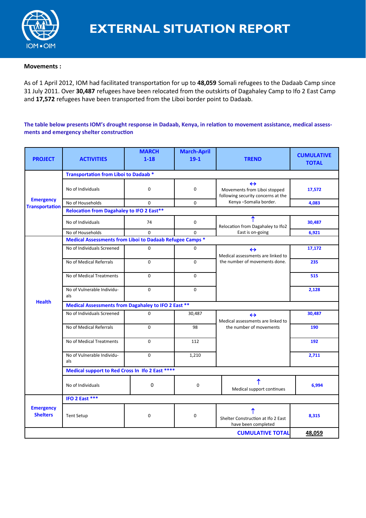

## **Movements :**

As of 1 April 2012, IOM had facilitated transportation for up to **48,059** Somali refugees to the Dadaab Camp since 31 July 2011. Over **30,487** refugees have been relocated from the outskirts of Dagahaley Camp to Ifo 2 East Camp and **17,572** refugees have been transported from the Liboi border point to Dadaab.

## **The table below presents IOM's drought response in Dadaab, Kenya, in relation to movement assistance, medical assessments and emergency shelter construction**

| <b>PROJECT</b>                            | <b>ACTIVITIES</b>                                        | <b>MARCH</b><br>$1 - 18$                            | <b>March-April</b><br>$19-1$ | <b>TREND</b>                                                                            | <b>CUMULATIVE</b><br><b>TOTAL</b> |  |  |
|-------------------------------------------|----------------------------------------------------------|-----------------------------------------------------|------------------------------|-----------------------------------------------------------------------------------------|-----------------------------------|--|--|
|                                           | <b>Transportation from Liboi to Dadaab *</b>             |                                                     |                              |                                                                                         |                                   |  |  |
| <b>Emergency</b><br><b>Transportation</b> | No of Individuals                                        | $\mathbf 0$                                         | 0                            | $\leftrightarrow$<br>Movements from Liboi stopped<br>following security concerns at the | 17,572                            |  |  |
|                                           | No of Households                                         | $\Omega$                                            | 0                            | Kenya -Somalia border.                                                                  | 4,083                             |  |  |
|                                           | <b>Relocation from Dagahaley to IFO 2 East**</b>         |                                                     |                              |                                                                                         |                                   |  |  |
|                                           | No of Individuals                                        | 74                                                  | 0                            | Relocation from Dagahaley to Ifo2<br>East is on-going                                   | 30,487                            |  |  |
|                                           | No of Households                                         | $\Omega$                                            | $\Omega$                     |                                                                                         | 6,921                             |  |  |
|                                           | Medical Assessments from Liboi to Dadaab Refugee Camps * |                                                     |                              |                                                                                         |                                   |  |  |
|                                           | No of Individuals Screened                               | $\mathbf 0$                                         | 0                            | $\leftrightarrow$<br>Medical assessments are linked to<br>the number of movements done. | 17,172                            |  |  |
|                                           | No of Medical Referrals                                  | $\mathbf 0$                                         | 0                            |                                                                                         | 235                               |  |  |
|                                           | No of Medical Treatments                                 | $\Omega$                                            | $\mathbf 0$                  |                                                                                         | 515                               |  |  |
|                                           | No of Vulnerable Individu-<br>als                        | $\Omega$                                            | 0                            |                                                                                         | 2,128                             |  |  |
| <b>Health</b>                             |                                                          | Medical Assessments from Dagahaley to IFO 2 East ** |                              |                                                                                         |                                   |  |  |
|                                           | No of Individuals Screened                               | $\Omega$                                            | 30,487                       | $\leftrightarrow$<br>Medical assessments are linked to                                  | 30,487                            |  |  |
|                                           | No of Medical Referrals                                  | $\mathbf 0$                                         | 98                           | the number of movements                                                                 | 190                               |  |  |
|                                           | No of Medical Treatments                                 | $\mathbf 0$                                         | 112                          |                                                                                         | 192                               |  |  |
|                                           | No of Vulnerable Individu-<br>als                        | $\mathbf 0$                                         | 1,210                        |                                                                                         | 2,711                             |  |  |
|                                           | Medical support to Red Cross In Ifo 2 East ****          |                                                     |                              |                                                                                         |                                   |  |  |
|                                           | No of Individuals                                        | 0                                                   | $\mathbf 0$                  | ↑<br>Medical support continues                                                          | 6,994                             |  |  |
|                                           | IFO 2 East ***                                           |                                                     |                              |                                                                                         |                                   |  |  |
| <b>Emergency</b><br><b>Shelters</b>       | <b>Tent Setup</b>                                        | $\mathbf 0$                                         | 0                            | Shelter Construction at Ifo 2 East<br>have been completed                               | 8,315                             |  |  |
|                                           | 48,059                                                   |                                                     |                              |                                                                                         |                                   |  |  |